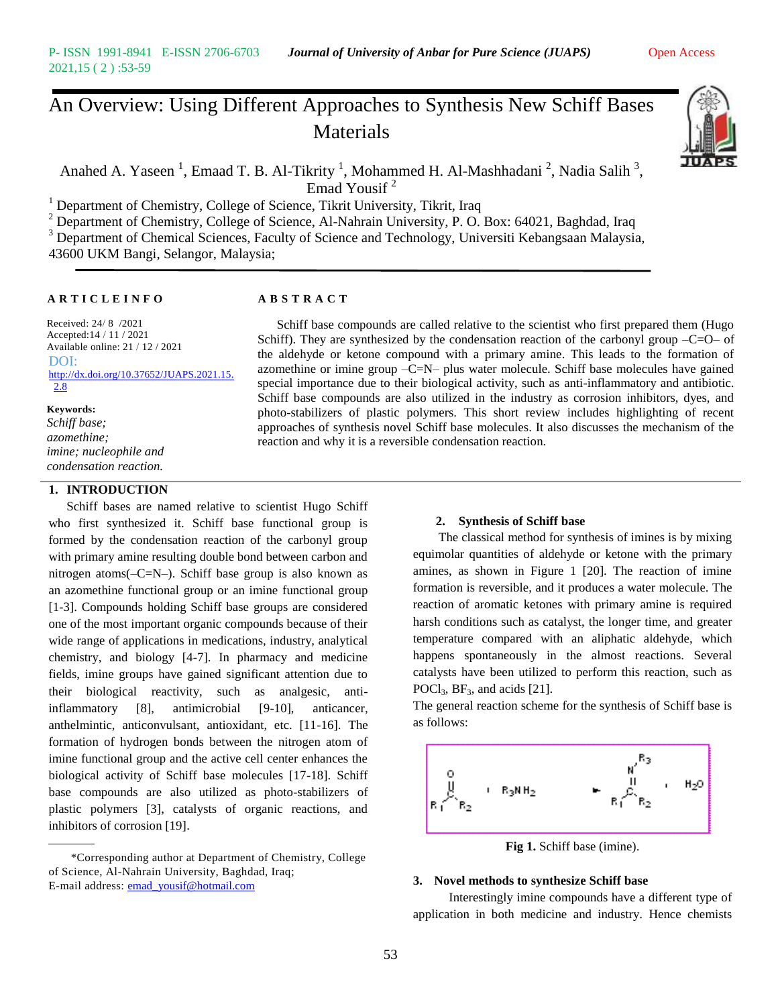# An Overview: Using Different Approaches to Synthesis New Schiff Bases Materials



Anahed A. Yaseen<sup>1</sup>, Emaad T. B. Al-Tikrity<sup>1</sup>, Mohammed H. Al-Mashhadani<sup>2</sup>, Nadia Salih<sup>3</sup>, Emad Yousif<sup>2</sup>

<sup>1</sup> Department of Chemistry, College of Science, Tikrit University, Tikrit, Iraq

 $2$  Department of Chemistry, College of Science, Al-Nahrain University, P. O. Box: 64021, Baghdad, Iraq

<sup>3</sup> Department of Chemical Sciences, Faculty of Science and Technology, Universiti Kebangsaan Malaysia, 43600 UKM Bangi, Selangor, Malaysia;

### **A R T I C L E I N F O A B S T R A C T**

Received: 24/ 8 /2021 Accepted:14 / 11 / 2021 Available online: 21 / 12 / 2021 DOI: [http://dx.doi.org/10.37652/JUAPS.2021.15.](http://dx.doi.org/10.37652/JUAPS.2021.15.2.8) [2.8](http://dx.doi.org/10.37652/JUAPS.2021.15.2.8)

#### **Keywords:**

*Schiff base; azomethine; imine; nucleophile and condensation reaction.*

# **1. INTRODUCTION**

Schiff bases are named relative to scientist Hugo Schiff who first synthesized it. Schiff base functional group is formed by the condensation reaction of the carbonyl group with primary amine resulting double bond between carbon and nitrogen atoms(–C=N–). Schiff base group is also known as an azomethine functional group or an imine functional group [1-3]. Compounds holding Schiff base groups are considered one of the most important organic compounds because of their wide range of applications in medications, industry, analytical chemistry, and biology [4-7]. In pharmacy and medicine fields, imine groups have gained significant attention due to their biological reactivity, such as analgesic, antiinflammatory [8], antimicrobial [9-10], anticancer, anthelmintic, anticonvulsant, antioxidant, etc. [11-16]. The formation of hydrogen bonds between the nitrogen atom of imine functional group and the active cell center enhances the biological activity of Schiff base molecules [17-18]. Schiff base compounds are also utilized as photo-stabilizers of plastic polymers [3], catalysts of organic reactions, and inhibitors of corrosion [19].

 \*Corresponding author at Department of Chemistry, College of Science, Al-Nahrain University, Baghdad, Iraq; E-mail address: [emad\\_yousif@hotmail.com](mailto:emad_yousif@hotmail.com)

 Schiff base compounds are called relative to the scientist who first prepared them (Hugo Schiff). They are synthesized by the condensation reaction of the carbonyl group  $-C=O$  of the aldehyde or ketone compound with a primary amine. This leads to the formation of azomethine or imine group  $-C=N$ – plus water molecule. Schiff base molecules have gained special importance due to their biological activity, such as anti-inflammatory and antibiotic. Schiff base compounds are also utilized in the industry as corrosion inhibitors, dyes, and photo-stabilizers of plastic polymers. This short review includes highlighting of recent approaches of synthesis novel Schiff base molecules. It also discusses the mechanism of the reaction and why it is a reversible condensation reaction.

#### **2. Synthesis of Schiff base**

 The classical method for synthesis of imines is by mixing equimolar quantities of aldehyde or ketone with the primary amines, as shown in Figure 1 [20]. The reaction of imine formation is reversible, and it produces a water molecule. The reaction of aromatic ketones with primary amine is required harsh conditions such as catalyst, the longer time, and greater temperature compared with an aliphatic aldehyde, which happens spontaneously in the almost reactions. Several catalysts have been utilized to perform this reaction, such as POCl<sub>3</sub>, BF<sub>3</sub>, and acids [21].

The general reaction scheme for the synthesis of Schiff base is as follows:



**Fig 1.** Schiff base (imine).

#### **3. Novel methods to synthesize Schiff base**

Interestingly imine compounds have a different type of application in both medicine and industry. Hence chemists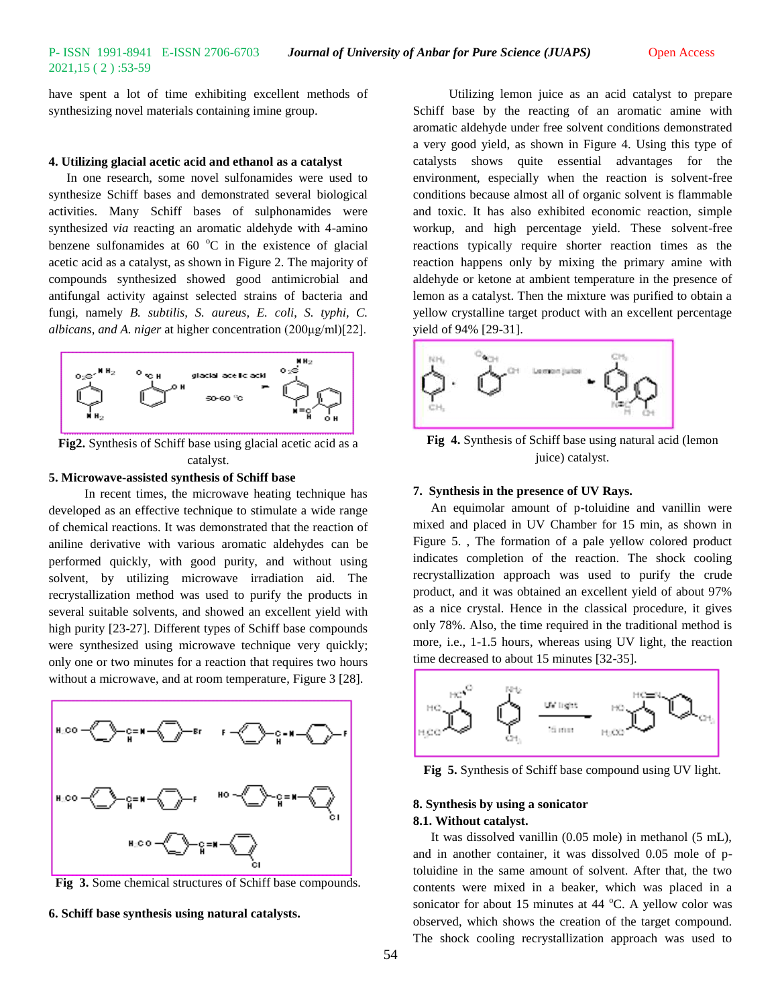have spent a lot of time exhibiting excellent methods of synthesizing novel materials containing imine group.

## **4. Utilizing glacial acetic acid and ethanol as a catalyst**

In one research, some novel sulfonamides were used to synthesize Schiff bases and demonstrated several biological activities. Many Schiff bases of sulphonamides were synthesized *via* reacting an aromatic aldehyde with 4-amino benzene sulfonamides at  $60^{\circ}$ C in the existence of glacial acetic acid as a catalyst, as shown in Figure 2. The majority of compounds synthesized showed good antimicrobial and antifungal activity against selected strains of bacteria and fungi, namely *B. subtilis, S. aureus, E. coli*, *S. typhi, C. albicans, and A. niger* at higher concentration (200μg/ml)[22].



**Fig2.** Synthesis of Schiff base using glacial acetic acid as a catalyst.

### **5. Microwave-assisted synthesis of Schiff base**

In recent times, the microwave heating technique has developed as an effective technique to stimulate a wide range of chemical reactions. It was demonstrated that the reaction of aniline derivative with various aromatic aldehydes can be performed quickly, with good purity, and without using solvent, by utilizing microwave irradiation aid. The recrystallization method was used to purify the products in several suitable solvents, and showed an excellent yield with high purity [23-27]. Different types of Schiff base compounds were synthesized using microwave technique very quickly; only one or two minutes for a reaction that requires two hours without a microwave, and at room temperature, Figure 3 [28].



**Fig 3.** Some chemical structures of Schiff base compounds.

**6. Schiff base synthesis using natural catalysts.** 

Utilizing lemon juice as an acid catalyst to prepare Schiff base by the reacting of an aromatic amine with aromatic aldehyde under free solvent conditions demonstrated a very good yield, as shown in Figure 4. Using this type of catalysts shows quite essential advantages for the environment, especially when the reaction is solvent-free conditions because almost all of organic solvent is flammable and toxic. It has also exhibited economic reaction, simple workup, and high percentage yield. These solvent-free reactions typically require shorter reaction times as the reaction happens only by mixing the primary amine with aldehyde or ketone at ambient temperature in the presence of lemon as a catalyst. Then the mixture was purified to obtain a yellow crystalline target product with an excellent percentage yield of 94% [29-31].



**Fig 4.** Synthesis of Schiff base using natural acid (lemon juice) catalyst.

#### **7. Synthesis in the presence of UV Rays.**

An equimolar amount of p-toluidine and vanillin were mixed and placed in UV Chamber for 15 min, as shown in Figure 5. , The formation of a pale yellow colored product indicates completion of the reaction. The shock cooling recrystallization approach was used to purify the crude product, and it was obtained an excellent yield of about 97% as a nice crystal. Hence in the classical procedure, it gives only 78%. Also, the time required in the traditional method is more, i.e., 1-1.5 hours, whereas using UV light, the reaction time decreased to about 15 minutes [32-35].



**Fig 5.** Synthesis of Schiff base compound using UV light.

## **8. Synthesis by using a sonicator 8.1. Without catalyst.**

It was dissolved vanillin (0.05 mole) in methanol (5 mL), and in another container, it was dissolved 0.05 mole of ptoluidine in the same amount of solvent. After that, the two contents were mixed in a beaker, which was placed in a sonicator for about 15 minutes at 44  $^{\circ}$ C. A yellow color was observed, which shows the creation of the target compound. The shock cooling recrystallization approach was used to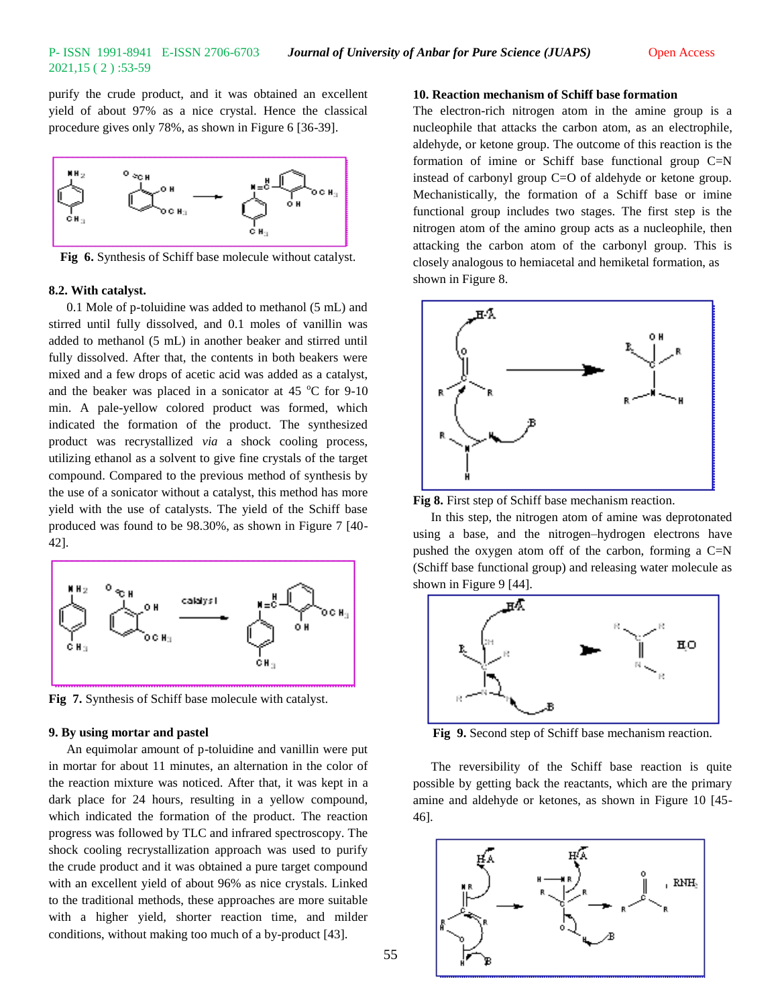purify the crude product, and it was obtained an excellent yield of about 97% as a nice crystal. Hence the classical procedure gives only 78%, as shown in Figure 6 [36-39].



**Fig 6.** Synthesis of Schiff base molecule without catalyst.

#### **8.2. With catalyst.**

0.1 Mole of p-toluidine was added to methanol (5 mL) and stirred until fully dissolved, and 0.1 moles of vanillin was added to methanol (5 mL) in another beaker and stirred until fully dissolved. After that, the contents in both beakers were mixed and a few drops of acetic acid was added as a catalyst, and the beaker was placed in a sonicator at 45  $^{\circ}$ C for 9-10 min. A pale-yellow colored product was formed, which indicated the formation of the product. The synthesized product was recrystallized *via* a shock cooling process, utilizing ethanol as a solvent to give fine crystals of the target compound. Compared to the previous method of synthesis by the use of a sonicator without a catalyst, this method has more yield with the use of catalysts. The yield of the Schiff base produced was found to be 98.30%, as shown in Figure 7 [40- 42].



**Fig 7.** Synthesis of Schiff base molecule with catalyst.

#### **9. By using mortar and pastel**

An equimolar amount of p-toluidine and vanillin were put in mortar for about 11 minutes, an alternation in the color of the reaction mixture was noticed. After that, it was kept in a dark place for 24 hours, resulting in a yellow compound, which indicated the formation of the product. The reaction progress was followed by TLC and infrared spectroscopy. The shock cooling recrystallization approach was used to purify the crude product and it was obtained a pure target compound with an excellent yield of about 96% as nice crystals. Linked to the traditional methods, these approaches are more suitable with a higher yield, shorter reaction time, and milder conditions, without making too much of a by-product [43].

# **10. Reaction mechanism of Schiff base formation**

The electron-rich nitrogen atom in the amine group is a nucleophile that attacks the carbon atom, as an electrophile, aldehyde, or ketone group. The outcome of this reaction is the formation of imine or Schiff base functional group C=N instead of carbonyl group C=O of aldehyde or ketone group. Mechanistically, the formation of a Schiff base or imine functional group includes two stages. The first step is the nitrogen atom of the amino group acts as a nucleophile, then attacking the carbon atom of the carbonyl group. This is closely analogous to hemiacetal and hemiketal formation, as shown in Figure 8.



**Fig 8.** First step of Schiff base mechanism reaction.

In this step, the nitrogen atom of amine was deprotonated using a base, and the nitrogen–hydrogen electrons have pushed the oxygen atom off of the carbon, forming a C=N (Schiff base functional group) and releasing water molecule as shown in Figure 9 [44].



**Fig 9.** Second step of Schiff base mechanism reaction.

The reversibility of the Schiff base reaction is quite possible by getting back the reactants, which are the primary amine and aldehyde or ketones, as shown in Figure 10 [45- 46].

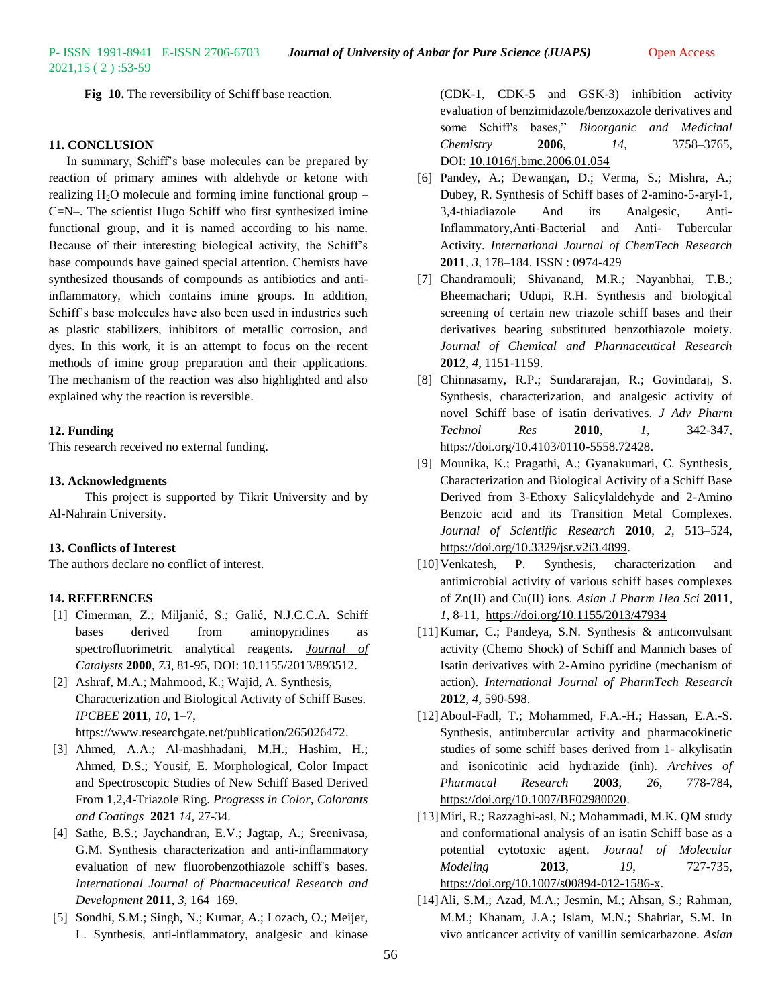2021,15 ( 2 ) :53-59

**Fig 10.** The reversibility of Schiff base reaction.

# **11. CONCLUSION**

In summary, Schiff's base molecules can be prepared by reaction of primary amines with aldehyde or ketone with realizing  $H_2O$  molecule and forming imine functional group – C=N–. The scientist Hugo Schiff who first synthesized imine functional group, and it is named according to his name. Because of their interesting biological activity, the Schiff's base compounds have gained special attention. Chemists have synthesized thousands of compounds as antibiotics and antiinflammatory, which contains imine groups. In addition, Schiff's base molecules have also been used in industries such as plastic stabilizers, inhibitors of metallic corrosion, and dyes. In this work, it is an attempt to focus on the recent methods of imine group preparation and their applications. The mechanism of the reaction was also highlighted and also explained why the reaction is reversible.

#### **12. Funding**

This research received no external funding.

#### **13. Acknowledgments**

This project is supported by Tikrit University and by Al-Nahrain University.

# **13. Conflicts of Interest**

The authors declare no conflict of interest.

#### **14. REFERENCES**

- [1] Cimerman, Z.; Miljanić, S.; Galić, N.J.C.C.A. Schiff bases derived from aminopyridines as spectrofluorimetric analytical reagents. *[Journal of](http://www.oalib.com/journal/322)  [Catalysts](http://www.oalib.com/journal/322)* **2000**, *73*, 81-95, DOI: [10.1155/2013/893512.](http://dx.doi.org/10.1155/2013/893512)
- [2] Ashraf, M.A.; Mahmood, K.; Wajid, A. Synthesis, Characterization and Biological Activity of Schiff Bases. *IPCBEE* **2011**, *10*, 1–7, [https://www.researchgate.net/publication/265026472.](https://www.researchgate.net/publication/265026472)
- [3] Ahmed, A.A.; Al-mashhadani, M.H.; Hashim, H.; Ahmed, D.S.; Yousif, E. Morphological, Color Impact and Spectroscopic Studies of New Schiff Based Derived From 1,2,4-Triazole Ring. *Progresss in Color, Colorants and Coatings* **2021** *14,* 27-34.
- [4] Sathe, B.S.; Jaychandran, E.V.; Jagtap, A.; Sreenivasa, G.M. Synthesis characterization and anti-inflammatory evaluation of new fluorobenzothiazole schiff's bases. *International Journal of Pharmaceutical Research and Development* **2011**, *3*, 164–169.
- [5] Sondhi, S.M.; Singh, N.; Kumar, A.; Lozach, O.; Meijer, L. Synthesis, anti-inflammatory, analgesic and kinase

(CDK-1, CDK-5 and GSK-3) inhibition activity evaluation of benzimidazole/benzoxazole derivatives and some Schiff's bases," *Bioorganic and Medicinal Chemistry* **2006**, *14*, 3758–3765, DOI: [10.1016/j.bmc.2006.01.054](http://doi.org/10.1016/j.bmc.2006.01.054)

- [6] Pandey, A.; Dewangan, D.; Verma, S.; Mishra, A.; Dubey, R. Synthesis of Schiff bases of 2-amino-5-aryl-1, 3,4-thiadiazole And its Analgesic, Anti-Inflammatory,Anti-Bacterial and Anti- Tubercular Activity. *International Journal of ChemTech Research*  **2011**, *3*, 178–184. ISSN : 0974-429
- [7] Chandramouli; Shivanand, M.R.; Nayanbhai, T.B.; Bheemachari; Udupi, R.H. Synthesis and biological screening of certain new triazole schiff bases and their derivatives bearing substituted benzothiazole moiety. *Journal of Chemical and Pharmaceutical Research*  **2012**, *4*, 1151-1159.
- [8] Chinnasamy, R.P.; Sundararajan, R.; Govindaraj, S. Synthesis, characterization, and analgesic activity of novel Schiff base of isatin derivatives. *J Adv Pharm Technol Res* **2010**, *1*, 342-347, [https://doi.org/10.4103/0110-5558.72428.](https://doi.org/10.4103/0110-5558.72428)
- [9] Mounika, K.; Pragathi, A.; Gyanakumari, C. Synthesis¸ Characterization and Biological Activity of a Schiff Base Derived from 3-Ethoxy Salicylaldehyde and 2-Amino Benzoic acid and its Transition Metal Complexes. *Journal of Scientific Research* **2010**, *2*, 513–524, [https://doi.org/10.3329/jsr.v2i3.4899.](https://doi.org/10.3329/jsr.v2i3.4899)
- [10] Venkatesh, P. Synthesis, characterization and antimicrobial activity of various schiff bases complexes of Zn(II) and Cu(II) ions. *Asian J Pharm Hea Sci* **2011**, *1*, 8-11, [https://doi.org/10.1155/2013/47934](https://doi.org/10.1155/2013/479343)
- [11]Kumar, C.; Pandeya, S.N. Synthesis & anticonvulsant activity (Chemo Shock) of Schiff and Mannich bases of Isatin derivatives with 2-Amino pyridine (mechanism of action). *International Journal of PharmTech Research*  **2012**, *4*, 590-598.
- [12]Aboul-Fadl, T.; Mohammed, F.A.-H.; Hassan, E.A.-S. Synthesis, antitubercular activity and pharmacokinetic studies of some schiff bases derived from 1- alkylisatin and isonicotinic acid hydrazide (inh). *Archives of Pharmacal Research* **2003**, *26*, 778-784, [https://doi.org/10.1007/BF02980020.](https://doi.org/10.1007/BF02980020)
- [13]Miri, R.; Razzaghi-asl, N.; Mohammadi, M.K. QM study and conformational analysis of an isatin Schiff base as a potential cytotoxic agent. *Journal of Molecular Modeling* **2013**, *19*, 727-735, [https://doi.org/10.1007/s00894-012-1586-x.](https://doi.org/10.1007/s00894-012-1586-x)
- [14]Ali, S.M.; Azad, M.A.; Jesmin, M.; Ahsan, S.; Rahman, M.M.; Khanam, J.A.; Islam, M.N.; Shahriar, S.M. In vivo anticancer activity of vanillin semicarbazone. *Asian*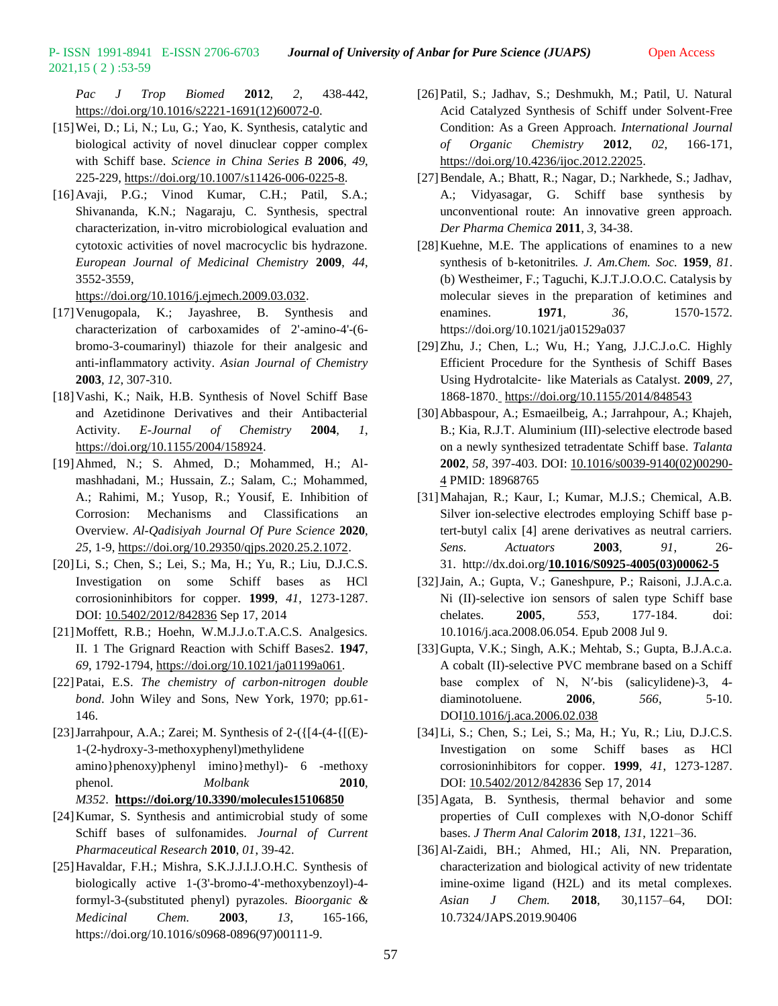*Pac J Trop Biomed* **2012**, *2*, 438-442, [https://doi.org/10.1016/s2221-1691\(12\)60072-0.](https://doi.org/10.1016/s2221-1691(12)60072-0)

[15]Wei, D.; Li, N.; Lu, G.; Yao, K. Synthesis, catalytic and biological activity of novel dinuclear copper complex with Schiff base. *Science in China Series B* **2006**, *49*, 225-229, [https://doi.org/10.1007/s11426-006-0225-8.](https://doi.org/10.1007/s11426-006-0225-8)

2021,15 ( 2 ) :53-59

[16]Avaji, P.G.; Vinod Kumar, C.H.; Patil, S.A.; Shivananda, K.N.; Nagaraju, C. Synthesis, spectral characterization, in-vitro microbiological evaluation and cytotoxic activities of novel macrocyclic bis hydrazone. *European Journal of Medicinal Chemistry* **2009**, *44*, 3552-3559,

[https://doi.org/10.1016/j.ejmech.2009.03.032.](https://doi.org/10.1016/j.ejmech.2009.03.032)

- [17]Venugopala, K.; Jayashree, B. Synthesis and characterization of carboxamides of 2'-amino-4'-(6 bromo-3-coumarinyl) thiazole for their analgesic and anti-inflammatory activity. *Asian Journal of Chemistry*  **2003**, *12*, 307-310.
- [18]Vashi, K.; Naik, H.B. Synthesis of Novel Schiff Base and Azetidinone Derivatives and their Antibacterial Activity. *E-Journal of Chemistry* **2004**, *1*, [https://doi.org/10.1155/2004/158924.](https://doi.org/10.1155/2004/158924)
- [19]Ahmed, N.; S. Ahmed, D.; Mohammed, H.; Almashhadani, M.; Hussain, Z.; Salam, C.; Mohammed, A.; Rahimi, M.; Yusop, R.; Yousif, E. Inhibition of Corrosion: Mechanisms and Classifications an Overview. *Al-Qadisiyah Journal Of Pure Science* **2020**, *25*, 1-9, [https://doi.org/10.29350/qjps.2020.25.2.1072.](https://doi.org/10.29350/qjps.2020.25.2.1072)
- [20]Li, S.; Chen, S.; Lei, S.; Ma, H.; Yu, R.; Liu, D.J.C.S. Investigation on some Schiff bases as HCl corrosioninhibitors for copper. **1999**, *41*, 1273-1287. DOI: [10.5402/2012/842836](http://dx.doi.org/10.5402/2012/842836) Sep 17, 2014
- [21]Moffett, R.B.; Hoehn, W.M.J.J.o.T.A.C.S. Analgesics. II. 1 The Grignard Reaction with Schiff Bases2. **1947**, *69*, 1792-1794, [https://doi.org/10.1021/ja01199a061.](https://doi.org/10.1021/ja01199a061)
- [22]Patai, E.S. *The chemistry of carbon-nitrogen double bond*. John Wiley and Sons, New York, 1970; pp.61- 146.
- [23] Jarrahpour, A.A.; Zarei; M. Synthesis of  $2-(\frac{14-(4-\frac{1}{1(E)}-1)}{2})$ 1-(2-hydroxy-3-methoxyphenyl)methylidene amino}phenoxy)phenyl imino}methyl)- 6 -methoxy phenol. *Molbank* **2010**, *M352*. **<https://doi.org/10.3390/molecules15106850>**
- [24]Kumar, S. Synthesis and antimicrobial study of some Schiff bases of sulfonamides. *Journal of Current Pharmaceutical Research* **2010**, *01*, 39-42.
- [25]Havaldar, F.H.; Mishra, S.K.J.J.I.J.O.H.C. Synthesis of biologically active 1-(3'-bromo-4'-methoxybenzoyl)-4 formyl-3-(substituted phenyl) pyrazoles. *Bioorganic & Medicinal Chem.* **2003**, *13*, 165-166, https://doi.org/10.1016/s0968-0896(97)00111-9.
- [26]Patil, S.; Jadhav, S.; Deshmukh, M.; Patil, U. Natural Acid Catalyzed Synthesis of Schiff under Solvent-Free Condition: As a Green Approach. *International Journal of Organic Chemistry* **2012**, *02*, 166-171, [https://doi.org/10.4236/ijoc.2012.22025.](https://doi.org/10.4236/ijoc.2012.22025)
- [27] Bendale, A.; Bhatt, R.; Nagar, D.; Narkhede, S.; Jadhav, A.; Vidyasagar, G. Schiff base synthesis by unconventional route: An innovative green approach. *Der Pharma Chemica* **2011**, *3*, 34-38.
- [28]Kuehne, M.E. The applications of enamines to a new synthesis of b-ketonitriles*. J. Am.Chem. Soc.* **1959**, *81*. (b) Westheimer, F.; Taguchi, K.J.T.J.O.O.C. Catalysis by molecular sieves in the preparation of ketimines and enamines. **1971**, *36*, 1570-1572. https://doi.org/10.1021/ja01529a037
- [29]Zhu, J.; Chen, L.; Wu, H.; Yang, J.J.C.J.o.C. Highly Efficient Procedure for the Synthesis of Schiff Bases Using Hydrotalcite‐ like Materials as Catalyst. **2009**, *27*, 1868-1870. <https://doi.org/10.1155/2014/848543>
- [30]Abbaspour, A.; Esmaeilbeig, A.; Jarrahpour, A.; Khajeh, B.; Kia, R.J.T. Aluminium (III)-selective electrode based on a newly synthesized tetradentate Schiff base. *Talanta* **2002**, *58*, 397-403. DOI: [10.1016/s0039-9140\(02\)00290-](https://doi.org/10.1016/s0039-9140(02)00290-4) [4](https://doi.org/10.1016/s0039-9140(02)00290-4) PMID: 18968765
- [31]Mahajan, R.; Kaur, I.; Kumar, M.J.S.; Chemical, A.B. Silver ion-selective electrodes employing Schiff base ptert-butyl calix [4] arene derivatives as neutral carriers. *Sens. Actuators* **2003**, *91*, 26- 31. http://dx.doi.org/**[10.1016/S0925-4005\(03\)00062-5](http://doi.org/10.1016/S0925-4005(03)00062-5)**
- [32]Jain, A.; Gupta, V.; Ganeshpure, P.; Raisoni, J.J.A.c.a. Ni (II)-selective ion sensors of salen type Schiff base chelates. **2005**, *553*, 177-184. doi: 10.1016/j.aca.2008.06.054. Epub 2008 Jul 9.
- [33]Gupta, V.K.; Singh, A.K.; Mehtab, S.; Gupta, B.J.A.c.a. A cobalt (II)-selective PVC membrane based on a Schiff base complex of N, N′-bis (salicylidene)-3, 4 diaminotoluene. **2006**, *566*, 5-10. DO[I10.1016/j.aca.2006.02.038](http://dx.doi.org/10.1016%2Fj.aca.2006.02.038)
- [34]Li, S.; Chen, S.; Lei, S.; Ma, H.; Yu, R.; Liu, D.J.C.S. Investigation on some Schiff bases as HCl corrosioninhibitors for copper. **1999**, *41*, 1273-1287. DOI: [10.5402/2012/842836](http://dx.doi.org/10.5402/2012/842836) Sep 17, 2014
- [35]Agata, B. Synthesis, thermal behavior and some properties of CuII complexes with N,O-donor Schiff bases. *J Therm Anal Calorim* **2018**, *131*, 1221–36.
- [36]Al-Zaidi, BH.; Ahmed, HI.; Ali, NN. Preparation, characterization and biological activity of new tridentate imine-oxime ligand (H2L) and its metal complexes. *Asian J Chem.* **2018**, 30,1157–64, DOI: 10.7324/JAPS.2019.90406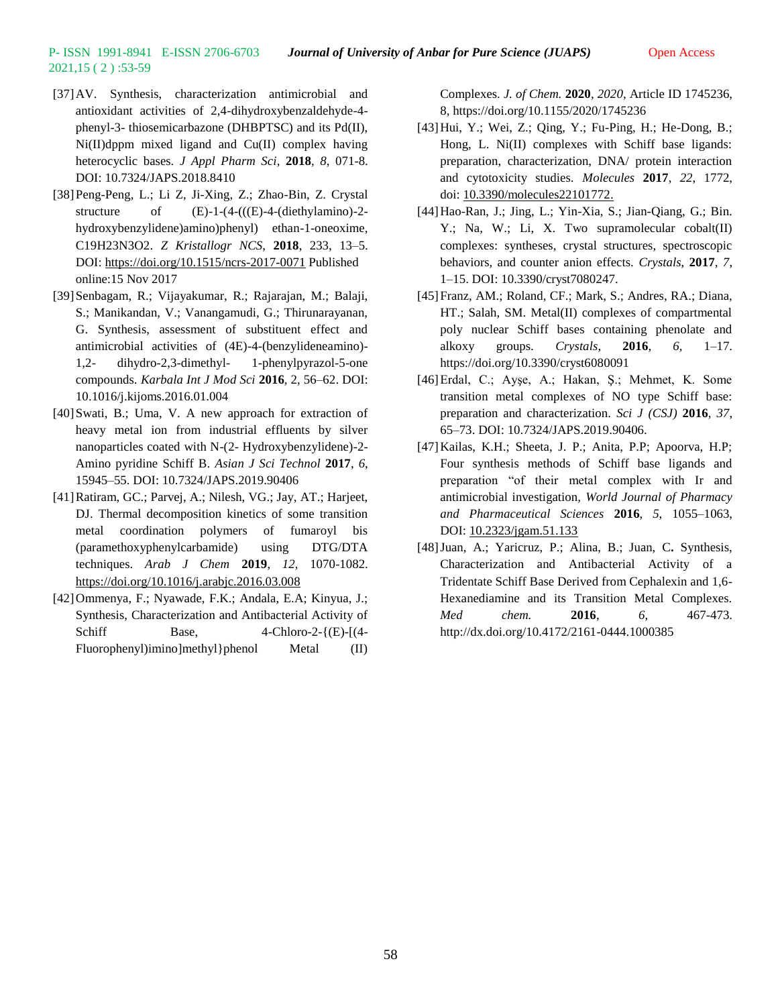2021,15 ( 2 ) :53-59

- [37]AV. Synthesis, characterization antimicrobial and antioxidant activities of 2,4-dihydroxybenzaldehyde-4 phenyl-3- thiosemicarbazone (DHBPTSC) and its Pd(II), Ni(II)dppm mixed ligand and Cu(II) complex having heterocyclic bases. *J Appl Pharm Sci*, **2018**, *8*, 071-8. DOI: 10.7324/JAPS.2018.8410
- [38]Peng-Peng, L.; Li Z, Ji-Xing, Z.; Zhao-Bin, Z. Crystal structure of  $(E)-1-(4-(((E)-4-(\text{diet}hylamino)-2-\text{diet}hylamino))$ hydroxybenzylidene)amino)phenyl) ethan-1-oneoxime, C19H23N3O2. *Z Kristallogr NCS*, **2018**, 233, 13–5. DOI: <https://doi.org/10.1515/ncrs-2017-0071> Published online:15 Nov 2017
- [39]Senbagam, R.; Vijayakumar, R.; Rajarajan, M.; Balaji, S.; Manikandan, V.; Vanangamudi, G.; Thirunarayanan, G. Synthesis, assessment of substituent effect and antimicrobial activities of (4E)-4-(benzylideneamino)- 1,2- dihydro-2,3-dimethyl- 1-phenylpyrazol-5-one compounds. *Karbala Int J Mod Sci* **2016**, 2, 56–62. DOI: 10.1016/j.kijoms.2016.01.004
- [40]Swati, B.; Uma, V. A new approach for extraction of heavy metal ion from industrial effluents by silver nanoparticles coated with N-(2- Hydroxybenzylidene)-2- Amino pyridine Schiff B. *Asian J Sci Technol* **2017**, *6*, 15945–55. DOI: 10.7324/JAPS.2019.90406
- [41]Ratiram, GC.; Parvej, A.; Nilesh, VG.; Jay, AT.; Harjeet, DJ. Thermal decomposition kinetics of some transition metal coordination polymers of fumaroyl bis (paramethoxyphenylcarbamide) using DTG/DTA techniques. *Arab J Chem* **2019**, *12*, 1070-1082. <https://doi.org/10.1016/j.arabjc.2016.03.008>
- [42]Ommenya, F.; Nyawade, F.K.; Andala, E.A; Kinyua, J.; Synthesis, Characterization and Antibacterial Activity of Schiff Base,  $4$ -Chloro-2- $\{ (E)$ - $[(4-$ Fluorophenyl)imino]methyl}phenol Metal (II)

Complexes. *J. of Chem.* **2020**, *2020*, Article ID 1745236, 8, https://doi.org/10.1155/2020/1745236

- [43]Hui, Y.; Wei, Z.; Qing, Y.; Fu-Ping, H.; He-Dong, B.; Hong, L. Ni(II) complexes with Schiff base ligands: preparation, characterization, DNA/ protein interaction and cytotoxicity studies. *Molecules* **2017**, *22*, 1772, doi: [10.3390/molecules22101772.](https://dx.doi.org/10.3390%2Fmolecules22101772)
- [44]Hao-Ran, J.; Jing, L.; Yin-Xia, S.; Jian-Qiang, G.; Bin. Y.; Na, W.; Li, X. Two supramolecular cobalt(II) complexes: syntheses, crystal structures, spectroscopic behaviors, and counter anion effects. *Crystals*, **2017**, *7*, 1–15. DOI: 10.3390/cryst7080247.
- [45]Franz, AM.; Roland, CF.; Mark, S.; Andres, RA.; Diana, HT.; Salah, SM. Metal(II) complexes of compartmental poly nuclear Schiff bases containing phenolate and alkoxy groups. *Crystals*, **2016**, *6*, 1–17. https://doi.org/10.3390/cryst6080091
- [46]Erdal, C.; Ayşe, A.; Hakan, Ş.; Mehmet, K. Some transition metal complexes of NO type Schiff base: preparation and characterization. *Sci J (CSJ)* **2016**, *37*, 65–73. DOI: 10.7324/JAPS.2019.90406.
- [47]Kailas, K.H.; Sheeta, J. P.; Anita, P.P; Apoorva, H.P; Four synthesis methods of Schiff base ligands and preparation "of their metal complex with Ir and antimicrobial investigation, *World Journal of Pharmacy and Pharmaceutical Sciences* **2016**, *5*, 1055–1063, DOI: [10.2323/jgam.51.133](https://doi.org/10.2323/jgam.51.133)
- [48]Juan, A.; Yaricruz, P.; Alina, B.; Juan, C**.** Synthesis, Characterization and Antibacterial Activity of a Tridentate Schiff Base Derived from Cephalexin and 1,6- Hexanediamine and its Transition Metal Complexes. *Med chem.* **2016**, *6*, 467-473. http://dx.doi.org/10.4172/2161-0444.1000385